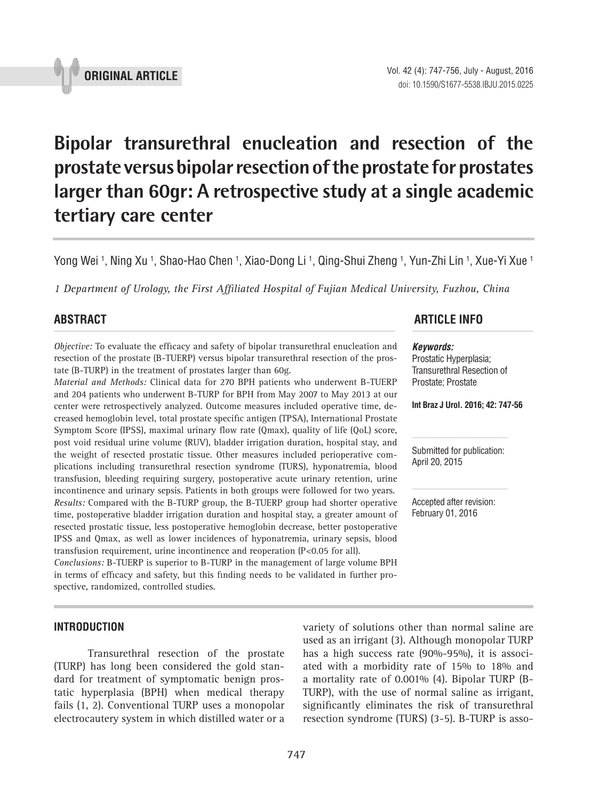

# **Bipolar transurethral enucleation and resection of the prostate versus bipolar resection of the prostate for prostates larger than 60gr: A retrospective study at a single academic tertiary care center \_\_\_\_\_\_\_\_\_\_\_\_\_\_\_\_\_\_\_\_\_\_\_\_\_\_\_\_\_\_\_\_\_\_\_\_\_\_\_\_\_\_\_\_\_\_\_**

Yong Wei <sup>1</sup>, Ning Xu <sup>1</sup>, Shao-Hao Chen <sup>1</sup>, Xiao-Dong Li <sup>1</sup>, Qing-Shui Zheng <sup>1</sup>, Yun-Zhi Lin <sup>1</sup>, Xue-Yi Xue <sup>1</sup>

*1 Department of Urology, the First Affiliated Hospital of Fujian Medical University, Fuzhou, China*

*Objective:* To evaluate the efficacy and safety of bipolar transurethral enucleation and resection of the prostate (B-TUERP) versus bipolar transurethral resection of the prostate (B-TURP) in the treatment of prostates larger than 60g.

*Material and Methods:* Clinical data for 270 BPH patients who underwent B-TUERP and 204 patients who underwent B-TURP for BPH from May 2007 to May 2013 at our center were retrospectively analyzed. Outcome measures included operative time, decreased hemoglobin level, total prostate specific antigen (TPSA), International Prostate Symptom Score (IPSS), maximal urinary flow rate (Qmax), quality of life (QoL) score, post void residual urine volume (RUV), bladder irrigation duration, hospital stay, and the weight of resected prostatic tissue. Other measures included perioperative complications including transurethral resection syndrome (TURS), hyponatremia, blood transfusion, bleeding requiring surgery, postoperative acute urinary retention, urine incontinence and urinary sepsis. Patients in both groups were followed for two years. *Results:* Compared with the B-TURP group, the B-TUERP group had shorter operative time, postoperative bladder irrigation duration and hospital stay, a greater amount of resected prostatic tissue, less postoperative hemoglobin decrease, better postoperative IPSS and Qmax, as well as lower incidences of hyponatremia, urinary sepsis, blood transfusion requirement, urine incontinence and reoperation (P<0.05 for all).

*Conclusions:* B-TUERP is superior to B-TURP in the management of large volume BPH in terms of efficacy and safety, but this finding needs to be validated in further prospective, randomized, controlled studies.

# **INTRODUCTION**

Transurethral resection of the prostate (TURP) has long been considered the gold standard for treatment of symptomatic benign prostatic hyperplasia (BPH) when medical therapy fails (1, 2). Conventional TURP uses a monopolar electrocautery system in which distilled water or a

variety of solutions other than normal saline are used as an irrigant (3). Although monopolar TURP has a high success rate (90%-95%), it is associated with a morbidity rate of 15% to 18% and a mortality rate of 0.001% (4). Bipolar TURP (B-TURP), with the use of normal saline as irrigant, significantly eliminates the risk of transurethral resection syndrome (TURS) (3-5). B-TURP is asso-

# **ABSTRACT ARTICLE INFO** *\_\_\_\_\_\_\_\_\_\_\_\_\_\_\_\_\_\_\_\_\_\_\_\_\_\_\_\_\_\_\_\_\_\_\_\_\_\_\_\_\_\_\_\_\_\_\_\_\_\_\_\_\_\_\_\_\_\_\_\_\_\_ \_\_\_\_\_\_\_\_\_\_\_\_\_\_\_\_\_\_\_\_\_\_*

#### *Keywords:*

Prostatic Hyperplasia; Transurethral Resection of Prostate; Prostate

**Int Braz J Urol. 2016; 42: 747-56**

Submitted for publication: April 20, 2015

Accepted after revision: February 01, 2016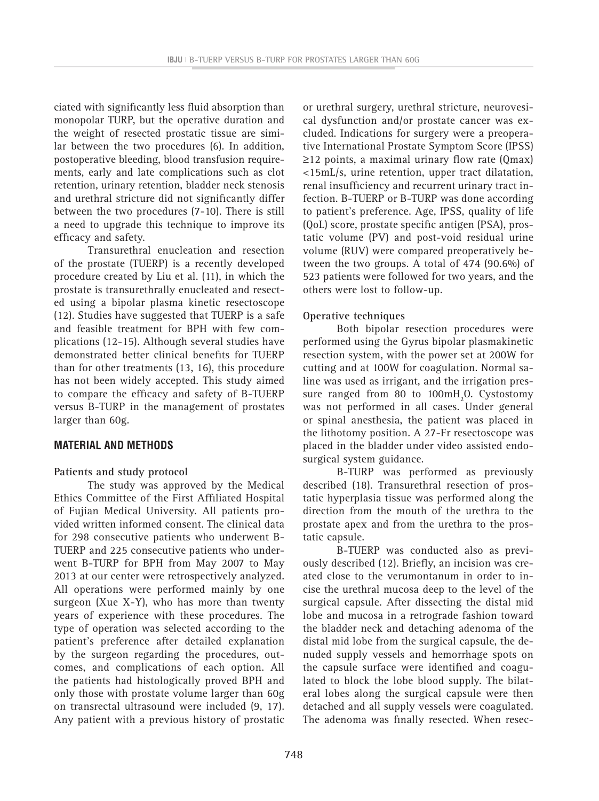ciated with significantly less fluid absorption than monopolar TURP, but the operative duration and the weight of resected prostatic tissue are similar between the two procedures (6). In addition, postoperative bleeding, blood transfusion requirements, early and late complications such as clot retention, urinary retention, bladder neck stenosis and urethral stricture did not significantly differ between the two procedures (7-10). There is still a need to upgrade this technique to improve its efficacy and safety.

Transurethral enucleation and resection of the prostate (TUERP) is a recently developed procedure created by Liu et al. (11), in which the prostate is transurethrally enucleated and resected using a bipolar plasma kinetic resectoscope (12). Studies have suggested that TUERP is a safe and feasible treatment for BPH with few complications (12-15). Although several studies have demonstrated better clinical benefits for TUERP than for other treatments (13, 16), this procedure has not been widely accepted. This study aimed to compare the efficacy and safety of B-TUERP versus B-TURP in the management of prostates larger than 60g.

### **MATERIAL AND METHODS**

### **Patients and study protocol**

The study was approved by the Medical Ethics Committee of the First Affiliated Hospital of Fujian Medical University. All patients provided written informed consent. The clinical data for 298 consecutive patients who underwent B-TUERP and 225 consecutive patients who underwent B-TURP for BPH from May 2007 to May 2013 at our center were retrospectively analyzed. All operations were performed mainly by one surgeon (Xue X-Y), who has more than twenty years of experience with these procedures. The type of operation was selected according to the patient's preference after detailed explanation by the surgeon regarding the procedures, outcomes, and complications of each option. All the patients had histologically proved BPH and only those with prostate volume larger than 60g on transrectal ultrasound were included (9, 17). Any patient with a previous history of prostatic or urethral surgery, urethral stricture, neurovesical dysfunction and/or prostate cancer was excluded. Indications for surgery were a preoperative International Prostate Symptom Score (IPSS)  $\geq$ 12 points, a maximal urinary flow rate (Qmax) <15mL/s, urine retention, upper tract dilatation, renal insufficiency and recurrent urinary tract infection. B-TUERP or B-TURP was done according to patient's preference. Age, IPSS, quality of life (QoL) score, prostate specific antigen (PSA), prostatic volume (PV) and post-void residual urine volume (RUV) were compared preoperatively between the two groups. A total of 474 (90.6%) of 523 patients were followed for two years, and the others were lost to follow-up.

# **Operative techniques**

Both bipolar resection procedures were performed using the Gyrus bipolar plasmakinetic resection system, with the power set at 200W for cutting and at 100W for coagulation. Normal saline was used as irrigant, and the irrigation pressure ranged from 80 to  $100 \text{mH}_2$ O. Cystostomy was not performed in all cases. Under general or spinal anesthesia, the patient was placed in the lithotomy position. A 27-Fr resectoscope was placed in the bladder under video assisted endosurgical system guidance.

B-TURP was performed as previously described (18). Transurethral resection of prostatic hyperplasia tissue was performed along the direction from the mouth of the urethra to the prostate apex and from the urethra to the prostatic capsule.

B-TUERP was conducted also as previously described (12). Briefly, an incision was created close to the verumontanum in order to incise the urethral mucosa deep to the level of the surgical capsule. After dissecting the distal mid lobe and mucosa in a retrograde fashion toward the bladder neck and detaching adenoma of the distal mid lobe from the surgical capsule, the denuded supply vessels and hemorrhage spots on the capsule surface were identified and coagulated to block the lobe blood supply. The bilateral lobes along the surgical capsule were then detached and all supply vessels were coagulated. The adenoma was finally resected. When resec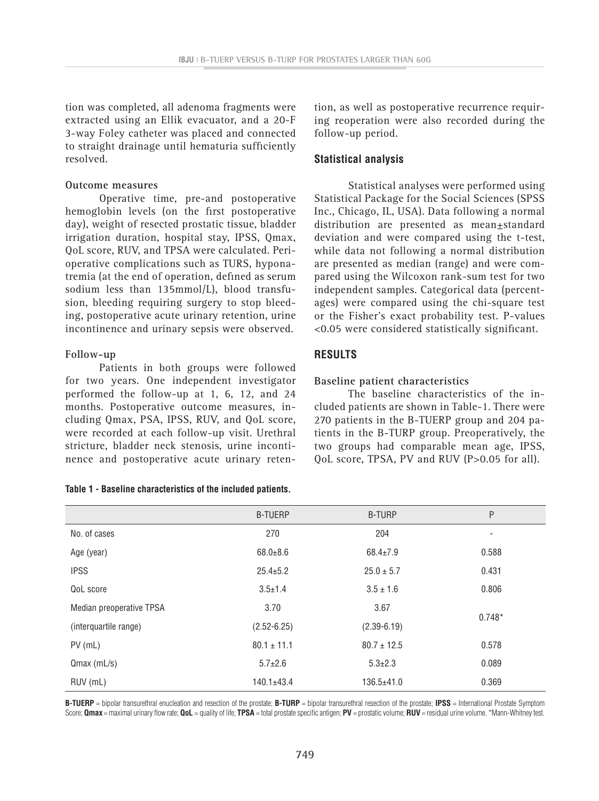tion was completed, all adenoma fragments were extracted using an Ellik evacuator, and a 20-F 3-way Foley catheter was placed and connected to straight drainage until hematuria sufficiently resolved.

#### **Outcome measures**

Operative time, pre-and postoperative hemoglobin levels (on the first postoperative day), weight of resected prostatic tissue, bladder irrigation duration, hospital stay, IPSS, Qmax, QoL score, RUV, and TPSA were calculated. Perioperative complications such as TURS, hyponatremia (at the end of operation, defined as serum sodium less than 135mmol/L), blood transfusion, bleeding requiring surgery to stop bleeding, postoperative acute urinary retention, urine incontinence and urinary sepsis were observed.

#### **Follow-up**

Patients in both groups were followed for two years. One independent investigator performed the follow-up at 1, 6, 12, and 24 months. Postoperative outcome measures, including Qmax, PSA, IPSS, RUV, and QoL score, were recorded at each follow-up visit. Urethral stricture, bladder neck stenosis, urine incontinence and postoperative acute urinary reten-

|  |  |  | Table 1 - Baseline characteristics of the included patients. |  |  |  |
|--|--|--|--------------------------------------------------------------|--|--|--|
|--|--|--|--------------------------------------------------------------|--|--|--|

tion, as well as postoperative recurrence requiring reoperation were also recorded during the follow-up period.

#### **Statistical analysis**

Statistical analyses were performed using Statistical Package for the Social Sciences (SPSS Inc., Chicago, IL, USA). Data following a normal distribution are presented as mean±standard deviation and were compared using the t-test, while data not following a normal distribution are presented as median (range) and were compared using the Wilcoxon rank-sum test for two independent samples. Categorical data (percentages) were compared using the chi-square test or the Fisher's exact probability test. P-values <0.05 were considered statistically significant.

#### **RESULTS**

#### **Baseline patient characteristics**

The baseline characteristics of the included patients are shown in Table-1. There were 270 patients in the B-TUERP group and 204 patients in the B-TURP group. Preoperatively, the two groups had comparable mean age, IPSS, QoL score, TPSA, PV and RUV (P>0.05 for all).

|                          | <b>B-TUERP</b>  | <b>B-TURP</b>   | P                        |  |
|--------------------------|-----------------|-----------------|--------------------------|--|
| No. of cases             | 270             | 204             | $\overline{\phantom{a}}$ |  |
| Age (year)               | $68.0 \pm 8.6$  | $68.4 \pm 7.9$  | 0.588                    |  |
| <b>IPSS</b>              | $25.4 \pm 5.2$  | $25.0 \pm 5.7$  | 0.431                    |  |
| QoL score                | $3.5 \pm 1.4$   | $3.5 \pm 1.6$   | 0.806                    |  |
| Median preoperative TPSA | 3.70            | 3.67            |                          |  |
| (interquartile range)    | $(2.52 - 6.25)$ | $(2.39 - 6.19)$ | $0.748*$                 |  |
| $PV$ (mL)                | $80.1 \pm 11.1$ | $80.7 \pm 12.5$ | 0.578                    |  |
| $Qmax$ (mL/s)            | $5.7 \pm 2.6$   | $5.3 \pm 2.3$   | 0.089                    |  |
| RUV (mL)                 | $140.1 + 43.4$  | $136.5+41.0$    | 0.369                    |  |

**B-TUERP** = bipolar transurethral enucleation and resection of the prostate; **B-TURP** = bipolar transurethral resection of the prostate; **IPSS** = International Prostate Symptom Score; **Qmax** = maximal urinary flow rate; **QoL** = quality of life; **TPSA** = total prostate specific antigen; **PV** = prostatic volume; **RUV** = residual urine volume. \*Mann-Whitney test.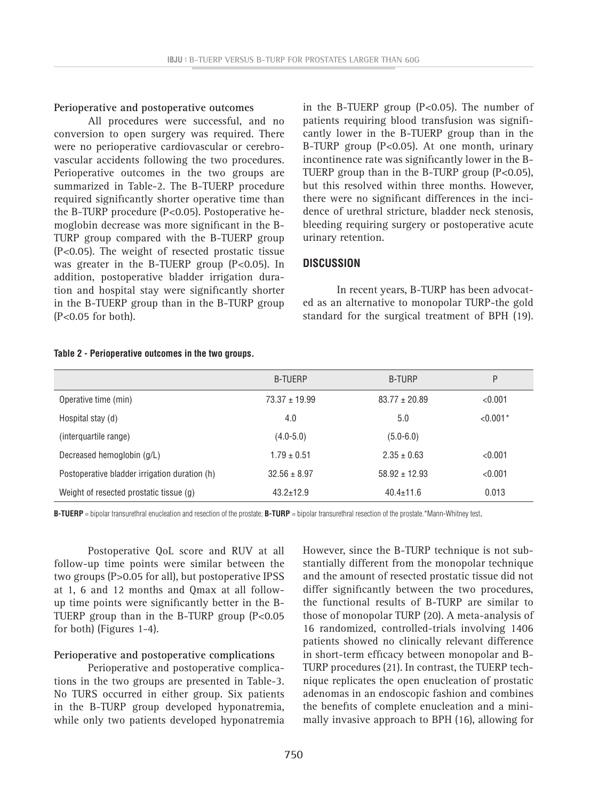#### **Perioperative and postoperative outcomes**

All procedures were successful, and no conversion to open surgery was required. There were no perioperative cardiovascular or cerebrovascular accidents following the two procedures. Perioperative outcomes in the two groups are summarized in Table-2. The B-TUERP procedure required significantly shorter operative time than the B-TURP procedure (P<0.05). Postoperative hemoglobin decrease was more significant in the B-TURP group compared with the B-TUERP group (P<0.05). The weight of resected prostatic tissue was greater in the B-TUERP group (P<0.05). In addition, postoperative bladder irrigation duration and hospital stay were significantly shorter in the B-TUERP group than in the B-TURP group (P<0.05 for both).

in the B-TUERP group (P<0.05). The number of patients requiring blood transfusion was significantly lower in the B-TUERP group than in the B-TURP group (P<0.05). At one month, urinary incontinence rate was significantly lower in the B-TUERP group than in the B-TURP group (P<0.05), but this resolved within three months. However, there were no significant differences in the incidence of urethral stricture, bladder neck stenosis, bleeding requiring surgery or postoperative acute urinary retention.

### **DISCUSSION**

In recent years, B-TURP has been advocated as an alternative to monopolar TURP-the gold standard for the surgical treatment of BPH (19).

|                                               | <b>B-TUERP</b>    | <b>B-TURP</b>     | P          |
|-----------------------------------------------|-------------------|-------------------|------------|
| Operative time (min)                          | $73.37 \pm 19.99$ | $83.77 \pm 20.89$ | < 0.001    |
| Hospital stay (d)                             | 4.0               | 5.0               | $< 0.001*$ |
| (interquartile range)                         | $(4.0 - 5.0)$     | $(5.0 - 6.0)$     |            |
| Decreased hemoglobin (g/L)                    | $1.79 \pm 0.51$   | $2.35 \pm 0.63$   | < 0.001    |
| Postoperative bladder irrigation duration (h) | $32.56 \pm 8.97$  | $58.92 \pm 12.93$ | < 0.001    |
| Weight of resected prostatic tissue (g)       | $43.2 \pm 12.9$   | $40.4 \pm 11.6$   | 0.013      |

**Table 2 - Perioperative outcomes in the two groups.**

**B-TUERP** = bipolar transurethral enucleation and resection of the prostate; **B-TURP** = bipolar transurethral resection of the prostate.\*Mann-Whitney test.

Postoperative QoL score and RUV at all follow-up time points were similar between the two groups (P>0.05 for all), but postoperative IPSS at 1, 6 and 12 months and Qmax at all followup time points were significantly better in the B-TUERP group than in the B-TURP group (P<0.05 for both) (Figures 1-4).

#### **Perioperative and postoperative complications**

Perioperative and postoperative complications in the two groups are presented in Table-3. No TURS occurred in either group. Six patients in the B-TURP group developed hyponatremia, while only two patients developed hyponatremia However, since the B-TURP technique is not substantially different from the monopolar technique and the amount of resected prostatic tissue did not differ significantly between the two procedures, the functional results of B-TURP are similar to those of monopolar TURP (20). A meta-analysis of 16 randomized, controlled-trials involving 1406 patients showed no clinically relevant difference in short-term efficacy between monopolar and B-TURP procedures (21). In contrast, the TUERP technique replicates the open enucleation of prostatic adenomas in an endoscopic fashion and combines the benefits of complete enucleation and a minimally invasive approach to BPH (16), allowing for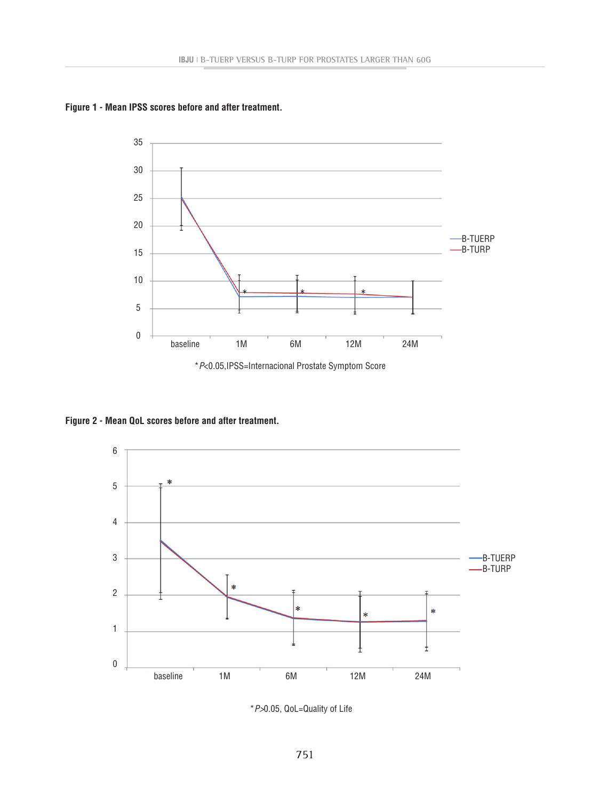



\**P*<0.05,IPSS=Internacional Prostate Symptom Score

**Figure 2 - Mean QoL scores before and after treatment.**



\**P>*0.05, QoL=Quality of Life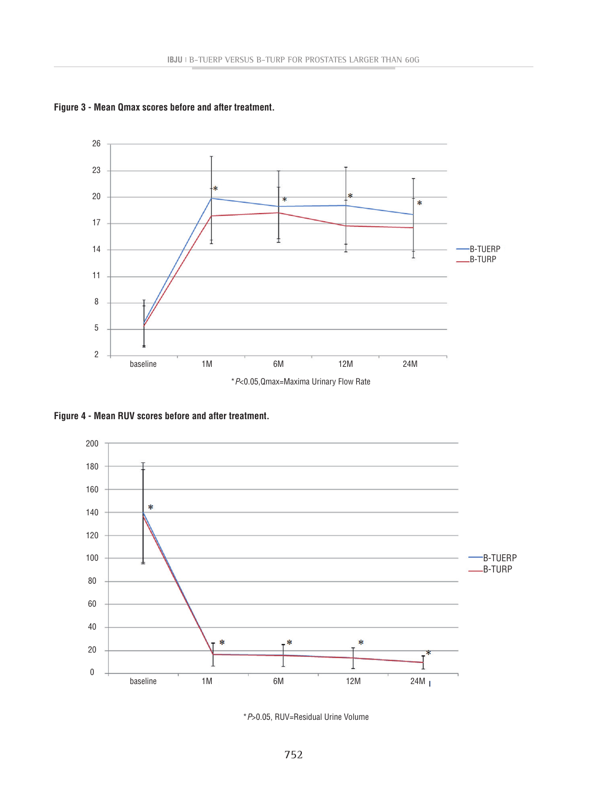

**Figure 3 - Mean Qmax scores before and after treatment.**

**Figure 4 - Mean RUV scores before and after treatment.**



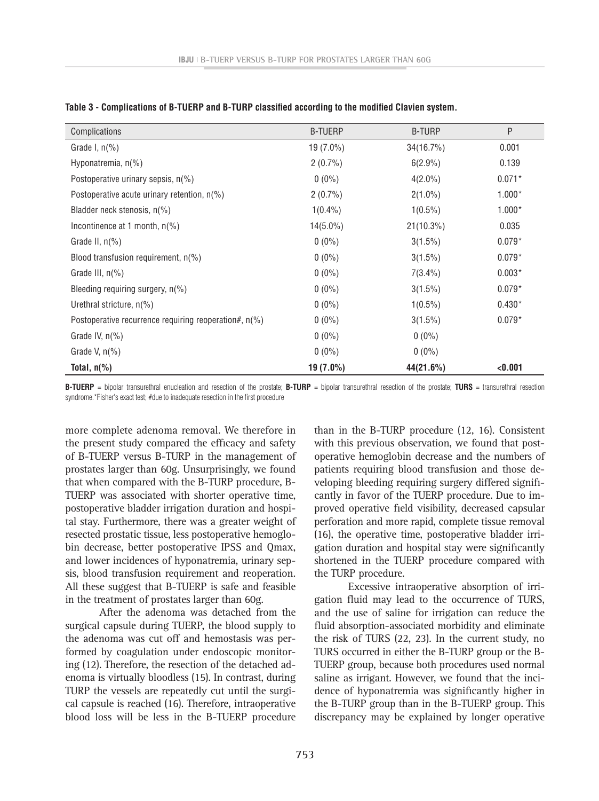| Complications                                         | <b>B-TUERP</b> | <b>B-TURP</b> | P        |
|-------------------------------------------------------|----------------|---------------|----------|
| Grade I, $n\frac{6}{6}$                               | 19 (7.0%)      | 34(16.7%)     | 0.001    |
| Hyponatremia, n(%)                                    | $2(0.7\%)$     | $6(2.9\%)$    | 0.139    |
| Postoperative urinary sepsis, n(%)                    | $0(0\%)$       | $4(2.0\%)$    | $0.071*$ |
| Postoperative acute urinary retention, $n(\%)$        | $2(0.7\%)$     | $2(1.0\%)$    | $1.000*$ |
| Bladder neck stenosis, n(%)                           | $1(0.4\%)$     | $1(0.5\%)$    | $1.000*$ |
| Incontinence at 1 month, $n(\%)$                      | $14(5.0\%)$    | $21(10.3\%)$  | 0.035    |
| Grade II, $n\frac{6}{6}$                              | $0(0\%)$       | $3(1.5\%)$    | $0.079*$ |
| Blood transfusion requirement, n(%)                   | $0(0\%)$       | $3(1.5\%)$    | $0.079*$ |
| Grade III, $n\frac{6}{6}$                             | $0(0\%)$       | $7(3.4\%)$    | $0.003*$ |
| Bleeding requiring surgery, n(%)                      | $0(0\%)$       | $3(1.5\%)$    | $0.079*$ |
| Urethral stricture, n(%)                              | $0(0\%)$       | $1(0.5\%)$    | $0.430*$ |
| Postoperative recurrence requiring reoperation#, n(%) | $0(0\%)$       | $3(1.5\%)$    | $0.079*$ |
| Grade IV, $n\frac{6}{6}$                              | $0(0\%)$       | $0(0\%)$      |          |
| Grade V, $n\frac{6}{6}$                               | $0(0\%)$       | $0(0\%)$      |          |
| Total, $n\llap/$ <sub>0</sub>                         | 19 (7.0%)      | 44(21.6%)     | < 0.001  |

**Table 3 - Complications of B-TUERP and B-TURP classified according to the modified Clavien system.**

**B-TUERP** = bipolar transurethral enucleation and resection of the prostate; **B-TURP** = bipolar transurethral resection of the prostate; **TURS** = transurethral resection syndrome.\*Fisher's exact test; #due to inadequate resection in the first procedure

more complete adenoma removal. We therefore in the present study compared the efficacy and safety of B-TUERP versus B-TURP in the management of prostates larger than 60g. Unsurprisingly, we found that when compared with the B-TURP procedure, B-TUERP was associated with shorter operative time, postoperative bladder irrigation duration and hospital stay. Furthermore, there was a greater weight of resected prostatic tissue, less postoperative hemoglobin decrease, better postoperative IPSS and Qmax, and lower incidences of hyponatremia, urinary sepsis, blood transfusion requirement and reoperation. All these suggest that B-TUERP is safe and feasible in the treatment of prostates larger than 60g.

After the adenoma was detached from the surgical capsule during TUERP, the blood supply to the adenoma was cut off and hemostasis was performed by coagulation under endoscopic monitoring (12). Therefore, the resection of the detached adenoma is virtually bloodless (15). In contrast, during TURP the vessels are repeatedly cut until the surgical capsule is reached (16). Therefore, intraoperative blood loss will be less in the B-TUERP procedure

than in the B-TURP procedure (12, 16). Consistent with this previous observation, we found that postoperative hemoglobin decrease and the numbers of patients requiring blood transfusion and those developing bleeding requiring surgery differed significantly in favor of the TUERP procedure. Due to improved operative field visibility, decreased capsular perforation and more rapid, complete tissue removal (16), the operative time, postoperative bladder irrigation duration and hospital stay were significantly shortened in the TUERP procedure compared with the TURP procedure.

Excessive intraoperative absorption of irrigation fluid may lead to the occurrence of TURS, and the use of saline for irrigation can reduce the fluid absorption-associated morbidity and eliminate the risk of TURS (22, 23). In the current study, no TURS occurred in either the B-TURP group or the B-TUERP group, because both procedures used normal saline as irrigant. However, we found that the incidence of hyponatremia was significantly higher in the B-TURP group than in the B-TUERP group. This discrepancy may be explained by longer operative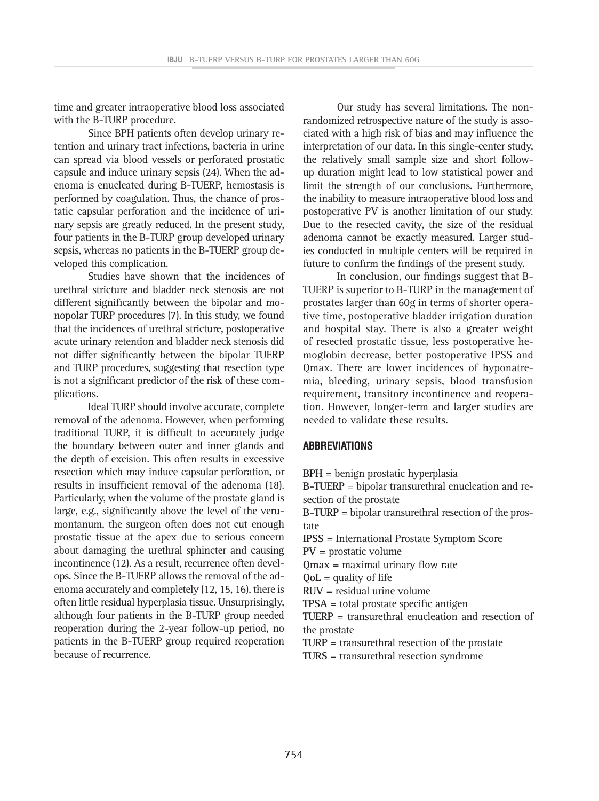time and greater intraoperative blood loss associated with the B-TURP procedure.

Since BPH patients often develop urinary retention and urinary tract infections, bacteria in urine can spread via blood vessels or perforated prostatic capsule and induce urinary sepsis (24). When the adenoma is enucleated during B-TUERP, hemostasis is performed by coagulation. Thus, the chance of prostatic capsular perforation and the incidence of urinary sepsis are greatly reduced. In the present study, four patients in the B-TURP group developed urinary sepsis, whereas no patients in the B-TUERP group developed this complication.

Studies have shown that the incidences of urethral stricture and bladder neck stenosis are not different significantly between the bipolar and monopolar TURP procedures (7). In this study, we found that the incidences of urethral stricture, postoperative acute urinary retention and bladder neck stenosis did not differ significantly between the bipolar TUERP and TURP procedures, suggesting that resection type is not a significant predictor of the risk of these complications.

Ideal TURP should involve accurate, complete removal of the adenoma. However, when performing traditional TURP, it is difficult to accurately judge the boundary between outer and inner glands and the depth of excision. This often results in excessive resection which may induce capsular perforation, or results in insufficient removal of the adenoma (18). Particularly, when the volume of the prostate gland is large, e.g., significantly above the level of the verumontanum, the surgeon often does not cut enough prostatic tissue at the apex due to serious concern about damaging the urethral sphincter and causing incontinence (12). As a result, recurrence often develops. Since the B-TUERP allows the removal of the adenoma accurately and completely (12, 15, 16), there is often little residual hyperplasia tissue. Unsurprisingly, although four patients in the B-TURP group needed reoperation during the 2-year follow-up period, no patients in the B-TUERP group required reoperation because of recurrence.

Our study has several limitations. The nonrandomized retrospective nature of the study is associated with a high risk of bias and may influence the interpretation of our data. In this single-center study, the relatively small sample size and short followup duration might lead to low statistical power and limit the strength of our conclusions. Furthermore, the inability to measure intraoperative blood loss and postoperative PV is another limitation of our study. Due to the resected cavity, the size of the residual adenoma cannot be exactly measured. Larger studies conducted in multiple centers will be required in future to confirm the findings of the present study.

In conclusion, our findings suggest that B-TUERP is superior to B-TURP in the management of prostates larger than 60g in terms of shorter operative time, postoperative bladder irrigation duration and hospital stay. There is also a greater weight of resected prostatic tissue, less postoperative hemoglobin decrease, better postoperative IPSS and Qmax. There are lower incidences of hyponatremia, bleeding, urinary sepsis, blood transfusion requirement, transitory incontinence and reoperation. However, longer-term and larger studies are needed to validate these results.

### **Abbreviations**

**BPH** = benign prostatic hyperplasia

**B-TUERP** = bipolar transurethral enucleation and resection of the prostate

**B-TURP** = bipolar transurethral resection of the prostate

**IPSS** = International Prostate Symptom Score

**PV =** prostatic volume

**Qmax** = maximal urinary flow rate

**QoL** = quality of life

**RUV** = residual urine volume

**TPSA** = total prostate specific antigen

**TUERP** = transurethral enucleation and resection of the prostate

**TURP** = transurethral resection of the prostate

**TURS** = transurethral resection syndrome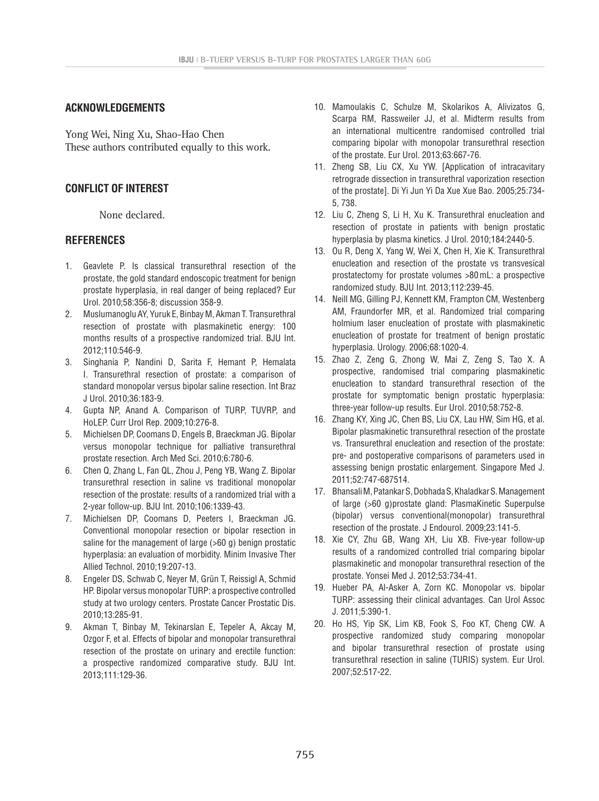# **ACKNOWLEDGEMENTS**

Yong Wei, Ning Xu, Shao-Hao Chen These authors contributed equally to this work.

# **CONFLICT OF INTEREST**

None declared.

# **REFERENCES**

- 1. Geavlete P. Is classical transurethral resection of the prostate, the gold standard endoscopic treatment for benign prostate hyperplasia, in real danger of being replaced? Eur Urol. 2010;58:356-8; discussion 358-9.
- 2. Muslumanoglu AY, Yuruk E, Binbay M, Akman T. Transurethral resection of prostate with plasmakinetic energy: 100 months results of a prospective randomized trial. BJU Int. 2012;110:546-9.
- 3. Singhania P, Nandini D, Sarita F, Hemant P, Hemalata I. Transurethral resection of prostate: a comparison of standard monopolar versus bipolar saline resection. Int Braz J Urol. 2010;36:183-9.
- 4. Gupta NP, Anand A. Comparison of TURP, TUVRP, and HoLEP. Curr Urol Rep. 2009;10:276-8.
- 5. Michielsen DP, Coomans D, Engels B, Braeckman JG. Bipolar versus monopolar technique for palliative transurethral prostate resection. Arch Med Sci. 2010;6:780-6.
- 6. Chen Q, Zhang L, Fan QL, Zhou J, Peng YB, Wang Z. Bipolar transurethral resection in saline vs traditional monopolar resection of the prostate: results of a randomized trial with a 2-year follow-up. BJU Int. 2010;106:1339-43.
- 7. Michielsen DP, Coomans D, Peeters I, Braeckman JG. Conventional monopolar resection or bipolar resection in saline for the management of large (>60 g) benign prostatic hyperplasia: an evaluation of morbidity. Minim Invasive Ther Allied Technol. 2010;19:207-13.
- 8. Engeler DS, Schwab C, Neyer M, Grün T, Reissigl A, Schmid HP. Bipolar versus monopolar TURP: a prospective controlled study at two urology centers. Prostate Cancer Prostatic Dis. 2010;13:285-91.
- 9. Akman T, Binbay M, Tekinarslan E, Tepeler A, Akcay M, Ozgor F, et al. Effects of bipolar and monopolar transurethral resection of the prostate on urinary and erectile function: a prospective randomized comparative study. BJU Int. 2013;111:129-36.
- 10. Mamoulakis C, Schulze M, Skolarikos A, Alivizatos G, Scarpa RM, Rassweiler JJ, et al. Midterm results from an international multicentre randomised controlled trial comparing bipolar with monopolar transurethral resection of the prostate. Eur Urol. 2013;63:667-76.
- 11. Zheng SB, Liu CX, Xu YW. [Application of intracavitary retrograde dissection in transurethral vaporization resection of the prostate]. Di Yi Jun Yi Da Xue Xue Bao. 2005;25:734- 5, 738.
- 12. Liu C, Zheng S, Li H, Xu K. Transurethral enucleation and resection of prostate in patients with benign prostatic hyperplasia by plasma kinetics. J Urol. 2010;184:2440-5.
- 13. Ou R, Deng X, Yang W, Wei X, Chen H, Xie K. Transurethral enucleation and resection of the prostate vs transvesical prostatectomy for prostate volumes >80mL: a prospective randomized study. BJU Int. 2013;112:239-45.
- 14. Neill MG, Gilling PJ, Kennett KM, Frampton CM, Westenberg AM, Fraundorfer MR, et al. Randomized trial comparing holmium laser enucleation of prostate with plasmakinetic enucleation of prostate for treatment of benign prostatic hyperplasia. Urology. 2006;68:1020-4.
- 15. Zhao Z, Zeng G, Zhong W, Mai Z, Zeng S, Tao X. A prospective, randomised trial comparing plasmakinetic enucleation to standard transurethral resection of the prostate for symptomatic benign prostatic hyperplasia: three-year follow-up results. Eur Urol. 2010;58:752-8.
- 16. Zhang KY, Xing JC, Chen BS, Liu CX, Lau HW, Sim HG, et al. Bipolar plasmakinetic transurethral resection of the prostate vs. Transurethral enucleation and resection of the prostate: pre- and postoperative comparisons of parameters used in assessing benign prostatic enlargement. Singapore Med J. 2011;52:747-687514.
- 17. Bhansali M, Patankar S, Dobhada S, Khaladkar S. Management of large (>60 g)prostate gland: PlasmaKinetic Superpulse (bipolar) versus conventional(monopolar) transurethral resection of the prostate. J Endourol. 2009;23:141-5.
- 18. Xie CY, Zhu GB, Wang XH, Liu XB. Five-year follow-up results of a randomized controlled trial comparing bipolar plasmakinetic and monopolar transurethral resection of the prostate. Yonsei Med J. 2012;53:734-41.
- 19. Hueber PA, Al-Asker A, Zorn KC. Monopolar vs. bipolar TURP: assessing their clinical advantages. Can Urol Assoc J. 2011;5:390-1.
- 20. Ho HS, Yip SK, Lim KB, Fook S, Foo KT, Cheng CW. A prospective randomized study comparing monopolar and bipolar transurethral resection of prostate using transurethral resection in saline (TURIS) system. Eur Urol. 2007;52:517-22.